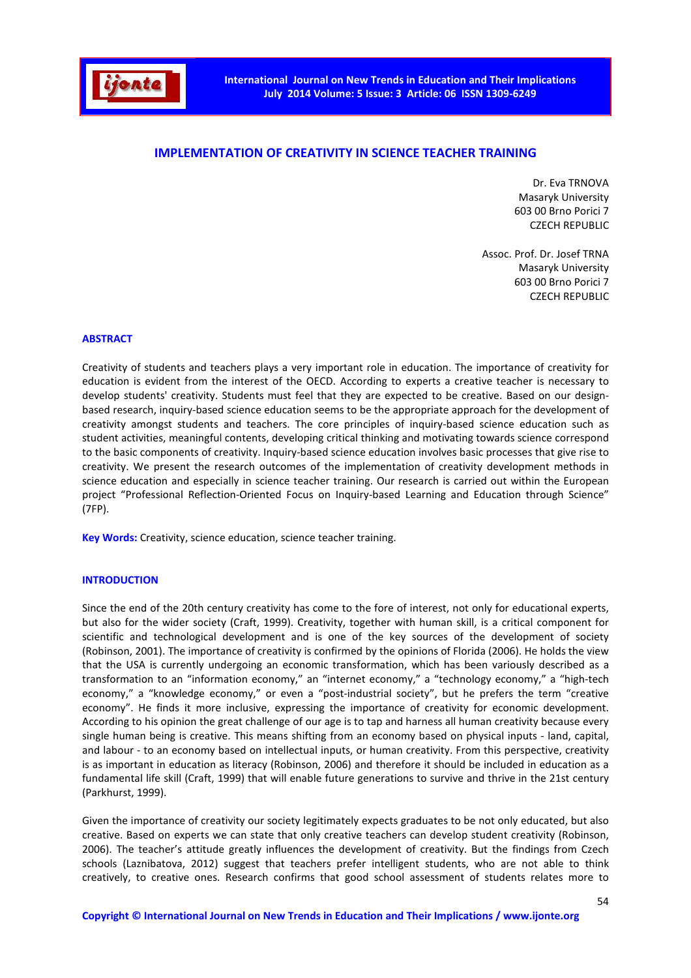

# **IMPLEMENTATION OF CREATIVITY IN SCIENCE TEACHER TRAINING**

Dr. Eva TRNOVA Masaryk University 603 00 Brno Porici 7 CZECH REPUBLIC

Assoc. Prof. Dr. Josef TRNA Masaryk University 603 00 Brno Porici 7 CZECH REPUBLIC

## **ABSTRACT**

Creativity of students and teachers plays a very important role in education. The importance of creativity for education is evident from the interest of the OECD. According to experts a creative teacher is necessary to develop students' creativity. Students must feel that they are expected to be creative. Based on our designbased research, inquiry-based science education seems to be the appropriate approach for the development of creativity amongst students and teachers. The core principles of inquiry-based science education such as student activities, meaningful contents, developing critical thinking and motivating towards science correspond to the basic components of creativity. Inquiry-based science education involves basic processes that give rise to creativity. We present the research outcomes of the implementation of creativity development methods in science education and especially in science teacher training. Our research is carried out within the European project "Professional Reflection-Oriented Focus on Inquiry-based Learning and Education through Science" (7FP).

**Key Words:** Creativity, science education, science teacher training.

#### **INTRODUCTION**

Since the end of the 20th century creativity has come to the fore of interest, not only for educational experts, but also for the wider society (Craft, 1999). Creativity, together with human skill, is a critical component for scientific and technological development and is one of the key sources of the development of society (Robinson, 2001). The importance of creativity is confirmed by the opinions of Florida (2006). He holds the view that the USA is currently undergoing an economic transformation, which has been variously described as a transformation to an "information economy," an "internet economy," a "technology economy," a "high-tech economy," a "knowledge economy," or even a "post-industrial society", but he prefers the term "creative economy". He finds it more inclusive, expressing the importance of creativity for economic development. According to his opinion the great challenge of our age is to tap and harness all human creativity because every single human being is creative. This means shifting from an economy based on physical inputs - land, capital, and labour - to an economy based on intellectual inputs, or human creativity. From this perspective, creativity is as important in education as literacy (Robinson, 2006) and therefore it should be included in education as a fundamental life skill (Craft, 1999) that will enable future generations to survive and thrive in the 21st century (Parkhurst, 1999).

Given the importance of creativity our society legitimately expects graduates to be not only educated, but also creative. Based on experts we can state that only creative teachers can develop student creativity (Robinson, 2006). The teacher's attitude greatly influences the development of creativity. But the findings from Czech schools (Laznibatova, 2012) suggest that teachers prefer intelligent students, who are not able to think creatively, to creative ones. Research confirms that good school assessment of students relates more to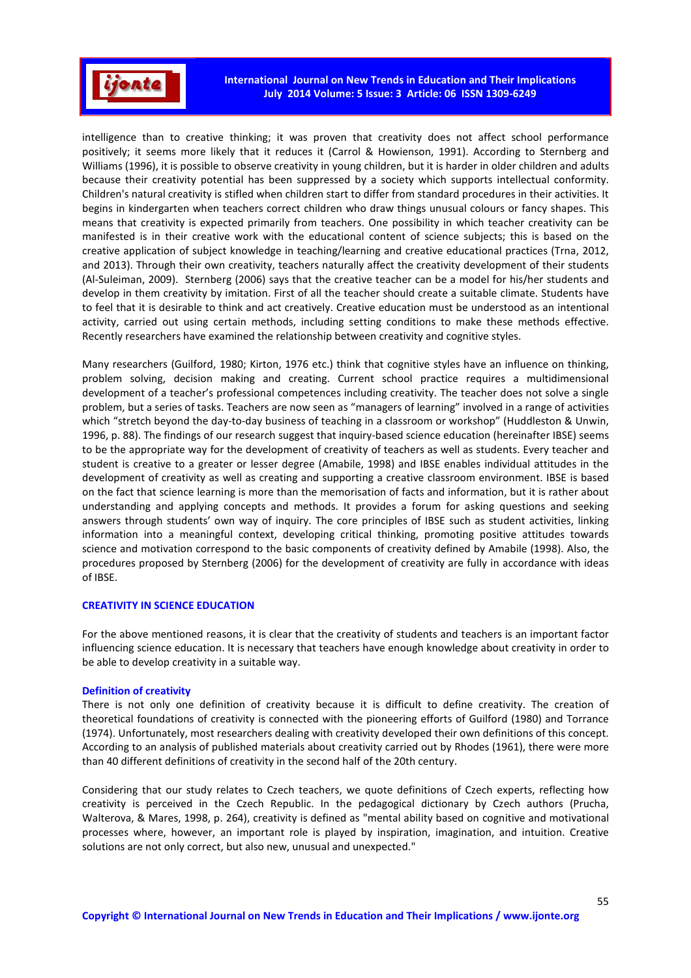

intelligence than to creative thinking; it was proven that creativity does not affect school performance positively; it seems more likely that it reduces it (Carrol & Howienson, 1991). According to Sternberg and Williams (1996), it is possible to observe creativity in young children, but it is harder in older children and adults because their creativity potential has been suppressed by a society which supports intellectual conformity. Children's natural creativity is stifled when children start to differ from standard procedures in their activities. It begins in kindergarten when teachers correct children who draw things unusual colours or fancy shapes. This means that creativity is expected primarily from teachers. One possibility in which teacher creativity can be manifested is in their creative work with the educational content of science subjects; this is based on the creative application of subject knowledge in teaching/learning and creative educational practices (Trna, 2012, and 2013). Through their own creativity, teachers naturally affect the creativity development of their students (Al-Suleiman, 2009). Sternberg (2006) says that the creative teacher can be a model for his/her students and develop in them creativity by imitation. First of all the teacher should create a suitable climate. Students have to feel that it is desirable to think and act creatively. Creative education must be understood as an intentional activity, carried out using certain methods, including setting conditions to make these methods effective. Recently researchers have examined the relationship between creativity and cognitive styles.

Many researchers (Guilford, 1980; Kirton, 1976 etc.) think that cognitive styles have an influence on thinking, problem solving, decision making and creating. Current school practice requires a multidimensional development of a teacher's professional competences including creativity. The teacher does not solve a single problem, but a series of tasks. Teachers are now seen as "managers of learning" involved in a range of activities which "stretch beyond the day-to-day business of teaching in a classroom or workshop" (Huddleston & Unwin, 1996, p. 88). The findings of our research suggest that inquiry-based science education (hereinafter IBSE) seems to be the appropriate way for the development of creativity of teachers as well as students. Every teacher and student is creative to a greater or lesser degree (Amabile, 1998) and IBSE enables individual attitudes in the development of creativity as well as creating and supporting a creative classroom environment. IBSE is based on the fact that science learning is more than the memorisation of facts and information, but it is rather about understanding and applying concepts and methods. It provides a forum for asking questions and seeking answers through students' own way of inquiry. The core principles of IBSE such as student activities, linking information into a meaningful context, developing critical thinking, promoting positive attitudes towards science and motivation correspond to the basic components of creativity defined by Amabile (1998). Also, the procedures proposed by Sternberg (2006) for the development of creativity are fully in accordance with ideas of IBSE.

## **CREATIVITY IN SCIENCE EDUCATION**

For the above mentioned reasons, it is clear that the creativity of students and teachers is an important factor influencing science education. It is necessary that teachers have enough knowledge about creativity in order to be able to develop creativity in a suitable way.

## **Definition of creativity**

There is not only one definition of creativity because it is difficult to define creativity. The creation of theoretical foundations of creativity is connected with the pioneering efforts of Guilford (1980) and Torrance (1974). Unfortunately, most researchers dealing with creativity developed their own definitions of this concept. According to an analysis of published materials about creativity carried out by Rhodes (1961), there were more than 40 different definitions of creativity in the second half of the 20th century.

Considering that our study relates to Czech teachers, we quote definitions of Czech experts, reflecting how creativity is perceived in the Czech Republic. In the pedagogical dictionary by Czech authors (Prucha, Walterova, & Mares, 1998, p. 264), creativity is defined as "mental ability based on cognitive and motivational processes where, however, an important role is played by inspiration, imagination, and intuition. Creative solutions are not only correct, but also new, unusual and unexpected."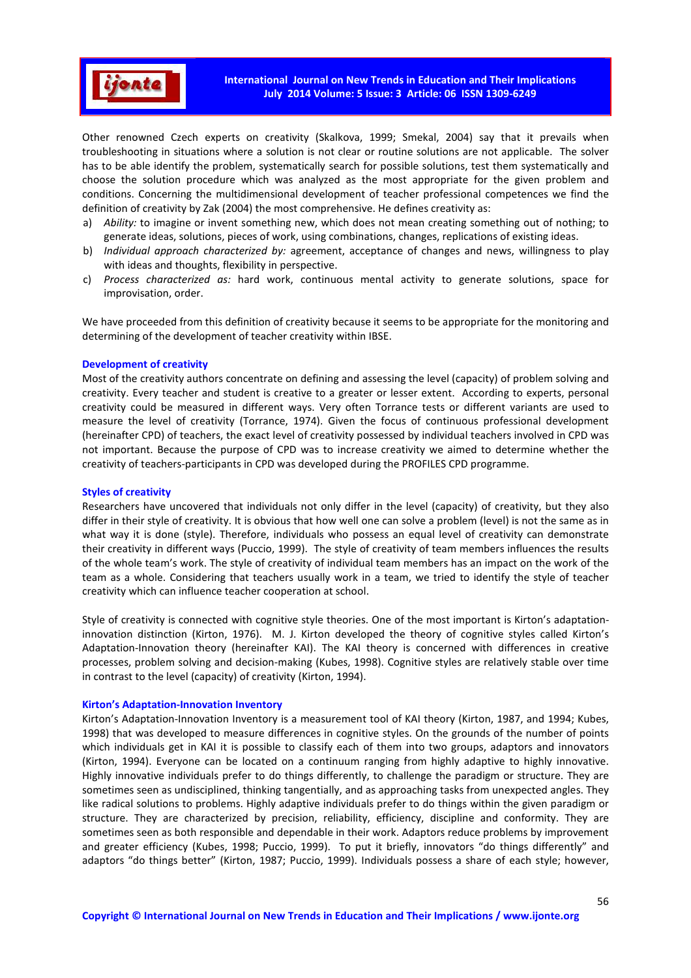

Other renowned Czech experts on creativity (Skalkova, 1999; Smekal, 2004) say that it prevails when troubleshooting in situations where a solution is not clear or routine solutions are not applicable. The solver has to be able identify the problem, systematically search for possible solutions, test them systematically and choose the solution procedure which was analyzed as the most appropriate for the given problem and conditions. Concerning the multidimensional development of teacher professional competences we find the definition of creativity by Zak (2004) the most comprehensive. He defines creativity as:

- a) *Ability:* to imagine or invent something new, which does not mean creating something out of nothing; to generate ideas, solutions, pieces of work, using combinations, changes, replications of existing ideas.
- b) *Individual approach characterized by:* agreement, acceptance of changes and news, willingness to play with ideas and thoughts, flexibility in perspective.
- c) *Process characterized as:* hard work, continuous mental activity to generate solutions, space for improvisation, order.

We have proceeded from this definition of creativity because it seems to be appropriate for the monitoring and determining of the development of teacher creativity within IBSE.

#### **Development of creativity**

Most of the creativity authors concentrate on defining and assessing the level (capacity) of problem solving and creativity. Every teacher and student is creative to a greater or lesser extent. According to experts, personal creativity could be measured in different ways. Very often Torrance tests or different variants are used to measure the level of creativity (Torrance, 1974). Given the focus of continuous professional development (hereinafter CPD) of teachers, the exact level of creativity possessed by individual teachers involved in CPD was not important. Because the purpose of CPD was to increase creativity we aimed to determine whether the creativity of teachers-participants in CPD was developed during the PROFILES CPD programme.

#### **Styles of creativity**

Researchers have uncovered that individuals not only differ in the level (capacity) of creativity, but they also differ in their style of creativity. It is obvious that how well one can solve a problem (level) is not the same as in what way it is done (style). Therefore, individuals who possess an equal level of creativity can demonstrate their creativity in different ways (Puccio, 1999). The style of creativity of team members influences the results of the whole team's work. The style of creativity of individual team members has an impact on the work of the team as a whole. Considering that teachers usually work in a team, we tried to identify the style of teacher creativity which can influence teacher cooperation at school.

Style of creativity is connected with cognitive style theories. One of the most important is Kirton's adaptationinnovation distinction (Kirton, 1976). M. J. Kirton developed the theory of cognitive styles called Kirton's Adaptation-Innovation theory (hereinafter KAI). The KAI theory is concerned with differences in creative processes, problem solving and decision-making (Kubes, 1998). Cognitive styles are relatively stable over time in contrast to the level (capacity) of creativity (Kirton, 1994).

#### **Kirton's Adaptation-Innovation Inventory**

Kirton's Adaptation-Innovation Inventory is a measurement tool of KAI theory (Kirton, 1987, and 1994; Kubes, 1998) that was developed to measure differences in cognitive styles. On the grounds of the number of points which individuals get in KAI it is possible to classify each of them into two groups, adaptors and innovators (Kirton, 1994). Everyone can be located on a continuum ranging from highly adaptive to highly innovative. Highly innovative individuals prefer to do things differently, to challenge the paradigm or structure. They are sometimes seen as undisciplined, thinking tangentially, and as approaching tasks from unexpected angles. They like radical solutions to problems. Highly adaptive individuals prefer to do things within the given paradigm or structure. They are characterized by precision, reliability, efficiency, discipline and conformity. They are sometimes seen as both responsible and dependable in their work. Adaptors reduce problems by improvement and greater efficiency (Kubes, 1998; Puccio, 1999). To put it briefly, innovators "do things differently" and adaptors "do things better" (Kirton, 1987; Puccio, 1999). Individuals possess a share of each style; however,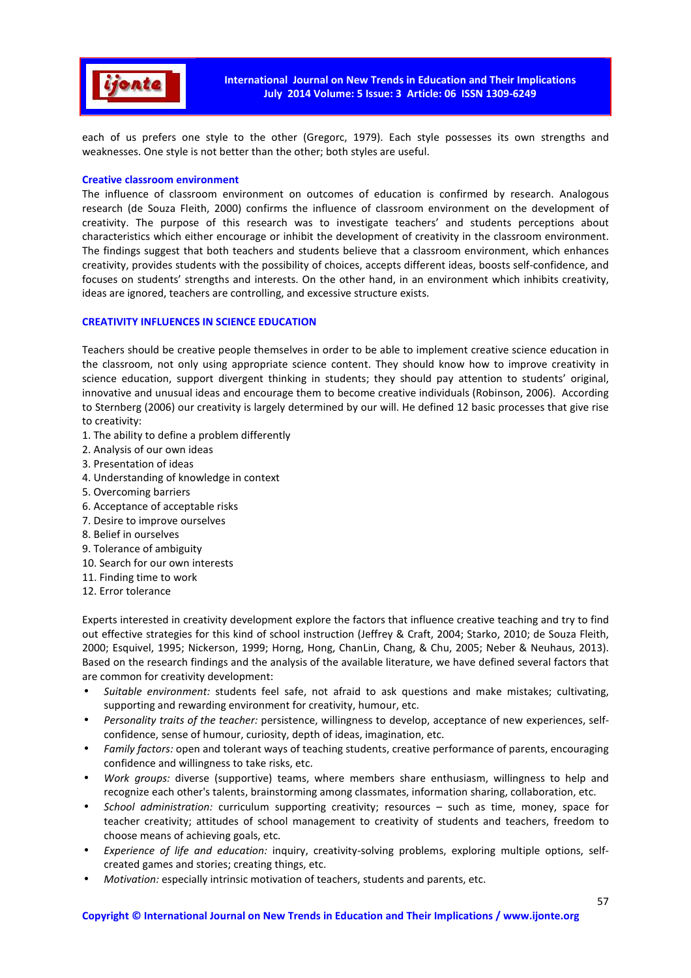

each of us prefers one style to the other (Gregorc, 1979). Each style possesses its own strengths and weaknesses. One style is not better than the other; both styles are useful.

## **Creative classroom environment**

The influence of classroom environment on outcomes of education is confirmed by research. Analogous research (de Souza Fleith, 2000) confirms the influence of classroom environment on the development of creativity. The purpose of this research was to investigate teachers' and students perceptions about characteristics which either encourage or inhibit the development of creativity in the classroom environment. The findings suggest that both teachers and students believe that a classroom environment, which enhances creativity, provides students with the possibility of choices, accepts different ideas, boosts self-confidence, and focuses on students' strengths and interests. On the other hand, in an environment which inhibits creativity, ideas are ignored, teachers are controlling, and excessive structure exists.

# **CREATIVITY INFLUENCES IN SCIENCE EDUCATION**

Teachers should be creative people themselves in order to be able to implement creative science education in the classroom, not only using appropriate science content. They should know how to improve creativity in science education, support divergent thinking in students; they should pay attention to students' original, innovative and unusual ideas and encourage them to become creative individuals (Robinson, 2006). According to Sternberg (2006) our creativity is largely determined by our will. He defined 12 basic processes that give rise to creativity:

- 1. The ability to define a problem differently
- 2. Analysis of our own ideas
- 3. Presentation of ideas
- 4. Understanding of knowledge in context
- 5. Overcoming barriers
- 6. Acceptance of acceptable risks
- 7. Desire to improve ourselves
- 8. Belief in ourselves
- 9. Tolerance of ambiguity
- 10. Search for our own interests
- 11. Finding time to work
- 12. Error tolerance

Experts interested in creativity development explore the factors that influence creative teaching and try to find out effective strategies for this kind of school instruction (Jeffrey & Craft, 2004; Starko, 2010; de Souza Fleith, 2000; Esquivel, 1995; Nickerson, 1999; Horng, Hong, ChanLin, Chang, & Chu, 2005; Neber & Neuhaus, 2013). Based on the research findings and the analysis of the available literature, we have defined several factors that are common for creativity development:

- *Suitable environment:* students feel safe, not afraid to ask questions and make mistakes; cultivating, supporting and rewarding environment for creativity, humour, etc.
- *Personality traits of the teacher:* persistence, willingness to develop, acceptance of new experiences, selfconfidence, sense of humour, curiosity, depth of ideas, imagination, etc.
- *Family factors:* open and tolerant ways of teaching students, creative performance of parents, encouraging confidence and willingness to take risks, etc.
- *Work groups:* diverse (supportive) teams, where members share enthusiasm, willingness to help and recognize each other's talents, brainstorming among classmates, information sharing, collaboration, etc.
- *School administration:* curriculum supporting creativity; resources such as time, money, space for teacher creativity; attitudes of school management to creativity of students and teachers, freedom to choose means of achieving goals, etc.
- *Experience of life and education:* inquiry, creativity-solving problems, exploring multiple options, selfcreated games and stories; creating things, etc.
- *Motivation:* especially intrinsic motivation of teachers, students and parents, etc.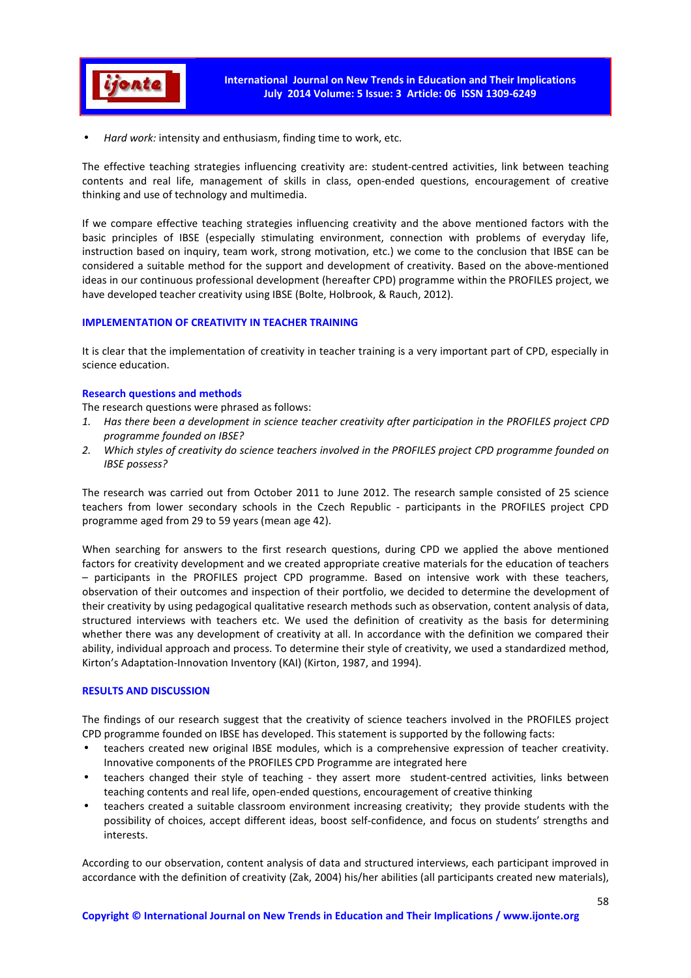

• *Hard work:* intensity and enthusiasm, finding time to work, etc.

The effective teaching strategies influencing creativity are: student-centred activities, link between teaching contents and real life, management of skills in class, open-ended questions, encouragement of creative thinking and use of technology and multimedia.

If we compare effective teaching strategies influencing creativity and the above mentioned factors with the basic principles of IBSE (especially stimulating environment, connection with problems of everyday life, instruction based on inquiry, team work, strong motivation, etc.) we come to the conclusion that IBSE can be considered a suitable method for the support and development of creativity. Based on the above-mentioned ideas in our continuous professional development (hereafter CPD) programme within the PROFILES project, we have developed teacher creativity using IBSE (Bolte, Holbrook, & Rauch, 2012).

# **IMPLEMENTATION OF CREATIVITY IN TEACHER TRAINING**

It is clear that the implementation of creativity in teacher training is a very important part of CPD, especially in science education.

# **Research questions and methods**

The research questions were phrased as follows:

- *1. Has there been a development in science teacher creativity after participation in the PROFILES project CPD programme founded on IBSE?*
- *2. Which styles of creativity do science teachers involved in the PROFILES project CPD programme founded on IBSE possess?*

The research was carried out from October 2011 to June 2012. The research sample consisted of 25 science teachers from lower secondary schools in the Czech Republic - participants in the PROFILES project CPD programme aged from 29 to 59 years (mean age 42).

When searching for answers to the first research questions, during CPD we applied the above mentioned factors for creativity development and we created appropriate creative materials for the education of teachers – participants in the PROFILES project CPD programme. Based on intensive work with these teachers, observation of their outcomes and inspection of their portfolio, we decided to determine the development of their creativity by using pedagogical qualitative research methods such as observation, content analysis of data, structured interviews with teachers etc. We used the definition of creativity as the basis for determining whether there was any development of creativity at all. In accordance with the definition we compared their ability, individual approach and process. To determine their style of creativity, we used a standardized method, Kirton's Adaptation-Innovation Inventory (KAI) (Kirton, 1987, and 1994).

# **RESULTS AND DISCUSSION**

The findings of our research suggest that the creativity of science teachers involved in the PROFILES project CPD programme founded on IBSE has developed. This statement is supported by the following facts:

- teachers created new original IBSE modules, which is a comprehensive expression of teacher creativity. Innovative components of the PROFILES CPD Programme are integrated here
- teachers changed their style of teaching they assert more student-centred activities, links between teaching contents and real life, open-ended questions, encouragement of creative thinking
- teachers created a suitable classroom environment increasing creativity; they provide students with the possibility of choices, accept different ideas, boost self-confidence, and focus on students' strengths and interests.

According to our observation, content analysis of data and structured interviews, each participant improved in accordance with the definition of creativity (Zak, 2004) his/her abilities (all participants created new materials),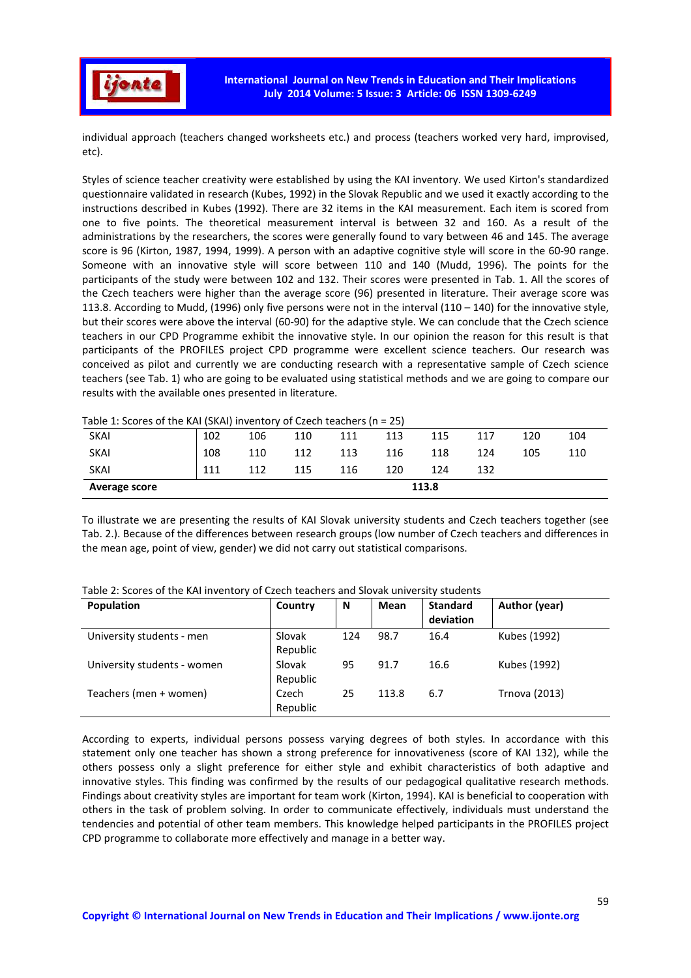

individual approach (teachers changed worksheets etc.) and process (teachers worked very hard, improvised, etc).

Styles of science teacher creativity were established by using the KAI inventory. We used Kirton's standardized questionnaire validated in research (Kubes, 1992) in the Slovak Republic and we used it exactly according to the instructions described in Kubes (1992). There are 32 items in the KAI measurement. Each item is scored from one to five points. The theoretical measurement interval is between 32 and 160. As a result of the administrations by the researchers, the scores were generally found to vary between 46 and 145. The average score is 96 (Kirton, 1987, 1994, 1999). A person with an adaptive cognitive style will score in the 60-90 range. Someone with an innovative style will score between 110 and 140 (Mudd, 1996). The points for the participants of the study were between 102 and 132. Their scores were presented in Tab. 1. All the scores of the Czech teachers were higher than the average score (96) presented in literature. Their average score was 113.8. According to Mudd, (1996) only five persons were not in the interval (110 – 140) for the innovative style, but their scores were above the interval (60-90) for the adaptive style. We can conclude that the Czech science teachers in our CPD Programme exhibit the innovative style. In our opinion the reason for this result is that participants of the PROFILES project CPD programme were excellent science teachers. Our research was conceived as pilot and currently we are conducting research with a representative sample of Czech science teachers (see Tab. 1) who are going to be evaluated using statistical methods and we are going to compare our results with the available ones presented in literature.

| Average score                                                                                                  | 113.8 |     |     |     |     |     |     |     |     |  |  |
|----------------------------------------------------------------------------------------------------------------|-------|-----|-----|-----|-----|-----|-----|-----|-----|--|--|
| <b>SKAI</b>                                                                                                    | 111   | 112 | 115 | 116 | 120 | 124 | 132 |     |     |  |  |
| <b>SKAI</b>                                                                                                    | 108   | 110 | 112 | 113 | 116 | 118 | 124 | 105 | 110 |  |  |
| <b>SKAI</b>                                                                                                    | 102   | 106 | 110 | 111 | 113 | 115 | 117 | 120 | 104 |  |  |
| ועם דו סנסטונט א דער האטונט ווי נודעונט א דער האטונט ווי דער סנסט ווי דער האטונט ווי דער די סופטונט ווי דער דע |       |     |     |     |     |     |     |     |     |  |  |

Table 1: Scores of the KAI (SKAI) inventory of Czech teachers (n = 25)

To illustrate we are presenting the results of KAI Slovak university students and Czech teachers together (see Tab. 2.). Because of the differences between research groups (low number of Czech teachers and differences in the mean age, point of view, gender) we did not carry out statistical comparisons.

| <b>Population</b>           | Country            | N   | <b>Mean</b> | <b>Standard</b><br>deviation | Author (year) |
|-----------------------------|--------------------|-----|-------------|------------------------------|---------------|
| University students - men   | Slovak<br>Republic | 124 | 98.7        | 16.4                         | Kubes (1992)  |
| University students - women | Slovak<br>Republic | 95  | 91.7        | 16.6                         | Kubes (1992)  |
| Teachers (men + women)      | Czech<br>Republic  | 25  | 113.8       | 6.7                          | Trnova (2013) |

Table 2: Scores of the KAI inventory of Czech teachers and Slovak university students

According to experts, individual persons possess varying degrees of both styles. In accordance with this statement only one teacher has shown a strong preference for innovativeness (score of KAI 132), while the others possess only a slight preference for either style and exhibit characteristics of both adaptive and innovative styles. This finding was confirmed by the results of our pedagogical qualitative research methods. Findings about creativity styles are important for team work (Kirton, 1994). KAI is beneficial to cooperation with others in the task of problem solving. In order to communicate effectively, individuals must understand the tendencies and potential of other team members. This knowledge helped participants in the PROFILES project CPD programme to collaborate more effectively and manage in a better way.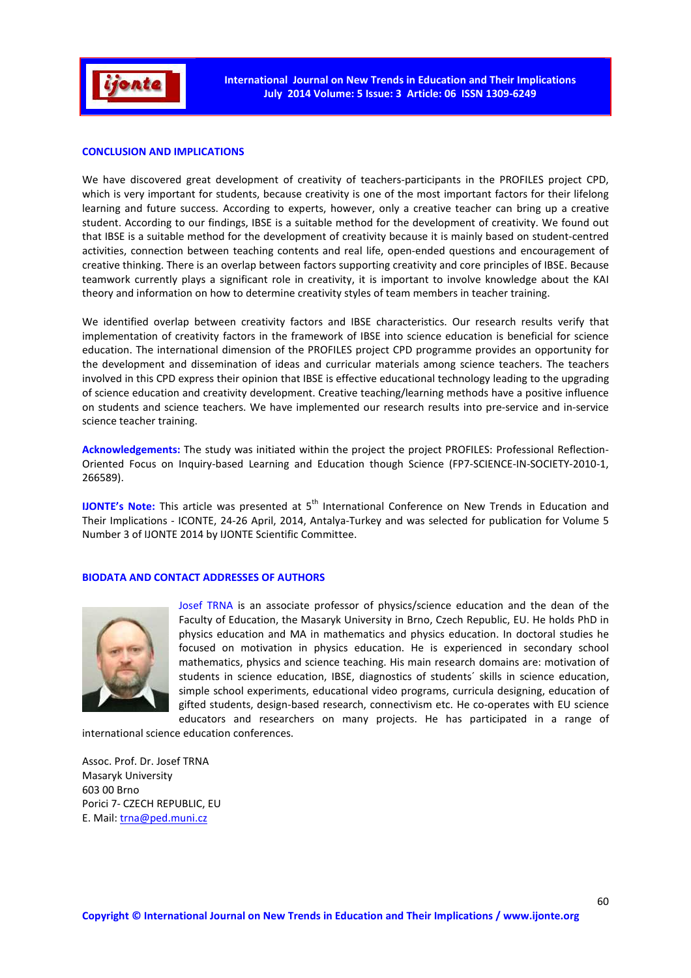

#### **CONCLUSION AND IMPLICATIONS**

We have discovered great development of creativity of teachers-participants in the PROFILES project CPD, which is very important for students, because creativity is one of the most important factors for their lifelong learning and future success. According to experts, however, only a creative teacher can bring up a creative student. According to our findings, IBSE is a suitable method for the development of creativity. We found out that IBSE is a suitable method for the development of creativity because it is mainly based on student-centred activities, connection between teaching contents and real life, open-ended questions and encouragement of creative thinking. There is an overlap between factors supporting creativity and core principles of IBSE. Because teamwork currently plays a significant role in creativity, it is important to involve knowledge about the KAI theory and information on how to determine creativity styles of team members in teacher training.

We identified overlap between creativity factors and IBSE characteristics. Our research results verify that implementation of creativity factors in the framework of IBSE into science education is beneficial for science education. The international dimension of the PROFILES project CPD programme provides an opportunity for the development and dissemination of ideas and curricular materials among science teachers. The teachers involved in this CPD express their opinion that IBSE is effective educational technology leading to the upgrading of science education and creativity development. Creative teaching/learning methods have a positive influence on students and science teachers. We have implemented our research results into pre-service and in-service science teacher training.

**Acknowledgements:** The study was initiated within the project the project PROFILES: Professional Reflection-Oriented Focus on Inquiry-based Learning and Education though Science (FP7-SCIENCE-IN-SOCIETY-2010-1, 266589).

**IJONTE's Note:** This article was presented at 5<sup>th</sup> International Conference on New Trends in Education and Their Implications - ICONTE, 24-26 April, 2014, Antalya-Turkey and was selected for publication for Volume 5 Number 3 of IJONTE 2014 by IJONTE Scientific Committee.

#### **BIODATA AND CONTACT ADDRESSES OF AUTHORS**



Josef TRNA is an associate professor of physics/science education and the dean of the Faculty of Education, the Masaryk University in Brno, Czech Republic, EU. He holds PhD in physics education and MA in mathematics and physics education. In doctoral studies he focused on motivation in physics education. He is experienced in secondary school mathematics, physics and science teaching. His main research domains are: motivation of students in science education, IBSE, diagnostics of students´ skills in science education, simple school experiments, educational video programs, curricula designing, education of gifted students, design-based research, connectivism etc. He co-operates with EU science educators and researchers on many projects. He has participated in a range of

international science education conferences.

Assoc. Prof. Dr. Josef TRNA Masaryk University 603 00 Brno Porici 7- CZECH REPUBLIC, EU E. Mail: trna@ped.muni.cz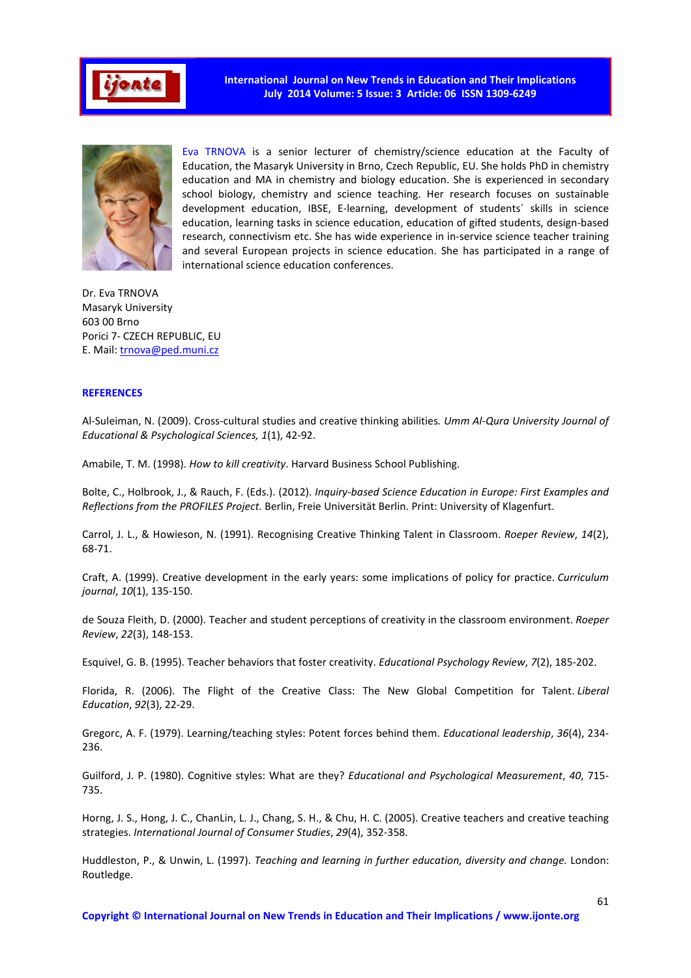

**International Journal on New Trends in Education and Their Implications July 2014 Volume: 5 Issue: 3 Article: 06 ISSN 1309-6249** 



Eva TRNOVA is a senior lecturer of chemistry/science education at the Faculty of Education, the Masaryk University in Brno, Czech Republic, EU. She holds PhD in chemistry education and MA in chemistry and biology education. She is experienced in secondary school biology, chemistry and science teaching. Her research focuses on sustainable development education, IBSE, E-learning, development of students´ skills in science education, learning tasks in science education, education of gifted students, design-based research, connectivism etc. She has wide experience in in-service science teacher training and several European projects in science education. She has participated in a range of international science education conferences.

Dr. Eva TRNOVA Masaryk University 603 00 Brno Porici 7- CZECH REPUBLIC, EU E. Mail: trnova@ped.muni.cz

#### **REFERENCES**

Al-Suleiman, N. (2009). Cross-cultural studies and creative thinking abilities*. Umm Al-Qura University Journal of Educational & Psychological Sciences, 1*(1), 42-92.

Amabile, T. M. (1998). *How to kill creativity*. Harvard Business School Publishing.

Bolte, C., Holbrook, J., & Rauch, F. (Eds.). (2012). *Inquiry-based Science Education in Europe: First Examples and Reflections from the PROFILES Project.* Berlin, Freie Universität Berlin. Print: University of Klagenfurt.

Carrol, J. L., & Howieson, N. (1991). Recognising Creative Thinking Talent in Classroom. *Roeper Review*, *14*(2), 68-71.

Craft, A. (1999). Creative development in the early years: some implications of policy for practice. *Curriculum journal*, *10*(1), 135-150.

de Souza Fleith, D. (2000). Teacher and student perceptions of creativity in the classroom environment. *Roeper Review*, *22*(3), 148-153.

Esquivel, G. B. (1995). Teacher behaviors that foster creativity. *Educational Psychology Review*, *7*(2), 185-202.

Florida, R. (2006). The Flight of the Creative Class: The New Global Competition for Talent. *Liberal Education*, *92*(3), 22-29.

Gregorc, A. F. (1979). Learning/teaching styles: Potent forces behind them. *Educational leadership*, *36*(4), 234- 236.

Guilford, J. P. (1980). Cognitive styles: What are they? *Educational and Psychological Measurement*, *40*, 715- 735.

Horng, J. S., Hong, J. C., ChanLin, L. J., Chang, S. H., & Chu, H. C. (2005). Creative teachers and creative teaching strategies. *International Journal of Consumer Studies*, *29*(4), 352-358.

Huddleston, P., & Unwin, L. (1997). *Teaching and learning in further education, diversity and change.* London: Routledge.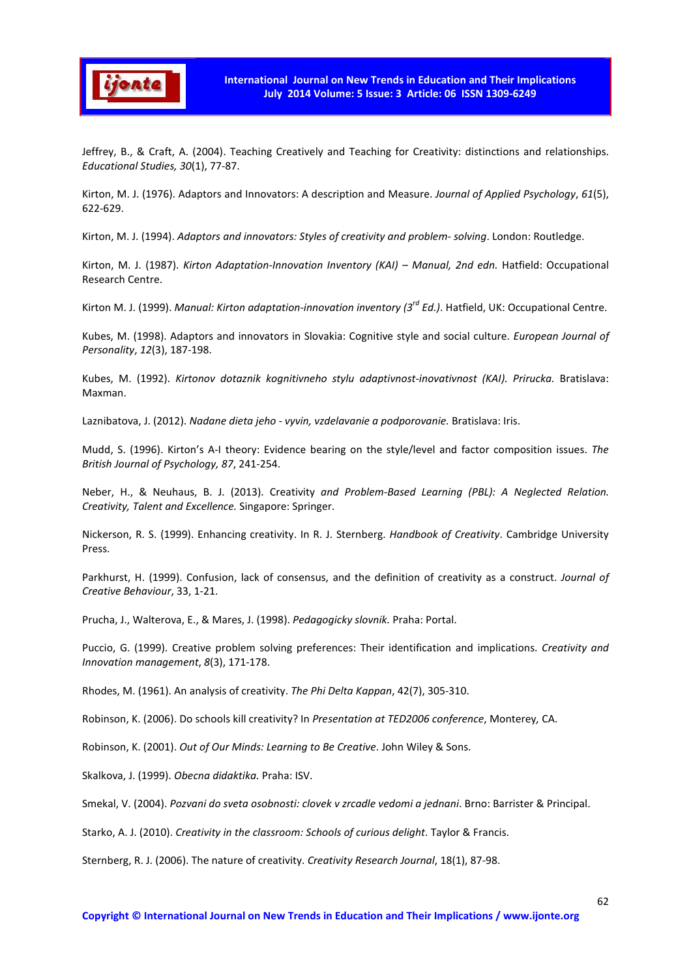

Jeffrey, B., & Craft, A. (2004). Teaching Creatively and Teaching for Creativity: distinctions and relationships. *Educational Studies, 30*(1), 77-87.

Kirton, M. J. (1976). Adaptors and Innovators: A description and Measure. *Journal of Applied Psychology*, *61*(5), 622-629.

Kirton, M. J. (1994). *Adaptors and innovators: Styles of creativity and problem- solving*. London: Routledge.

Kirton, M. J. (1987). *Kirton Adaptation-Innovation Inventory (KAI) – Manual, 2nd edn.* Hatfield: Occupational Research Centre.

Kirton M. J. (1999). *Manual: Kirton adaptation-innovation inventory (3rd Ed.)*. Hatfield, UK: Occupational Centre.

Kubes, M. (1998). Adaptors and innovators in Slovakia: Cognitive style and social culture. *European Journal of Personality*, *12*(3), 187-198.

Kubes, M. (1992). *Kirtonov dotaznik kognitivneho stylu adaptivnost-inovativnost (KAI). Prirucka.* Bratislava: Maxman.

Laznibatova, J. (2012). *Nadane dieta jeho - vyvin, vzdelavanie a podporovanie.* Bratislava: Iris.

Mudd, S. (1996). Kirton's A-I theory: Evidence bearing on the style/level and factor composition issues. *The British Journal of Psychology, 87*, 241-254.

Neber, H., & Neuhaus, B. J. (2013). Creativity *and Problem-Based Learning (PBL): A Neglected Relation. Creativity, Talent and Excellence.* Singapore: Springer.

Nickerson, R. S. (1999). Enhancing creativity. In R. J. Sternberg. *Handbook of Creativity*. Cambridge University **Press** 

Parkhurst, H. (1999). Confusion, lack of consensus, and the definition of creativity as a construct. *Journal of Creative Behaviour*, 33, 1-21.

Prucha, J., Walterova, E., & Mares, J. (1998). *Pedagogicky slovnik.* Praha: Portal.

Puccio, G. (1999). Creative problem solving preferences: Their identification and implications. *Creativity and Innovation management*, *8*(3), 171-178.

Rhodes, M. (1961). An analysis of creativity. *The Phi Delta Kappan*, 42(7), 305-310.

Robinson, K. (2006). Do schools kill creativity? In *Presentation at TED2006 conference*, Monterey*,* CA.

Robinson, K. (2001). *Out of Our Minds: Learning to Be Creative*. John Wiley & Sons.

Skalkova, J. (1999). *Obecna didaktika.* Praha: ISV.

Smekal, V. (2004). *Pozvani do sveta osobnosti: clovek v zrcadle vedomi a jednani*. Brno: Barrister & Principal.

Starko, A. J. (2010). *Creativity in the classroom: Schools of curious delight*. Taylor & Francis.

Sternberg, R. J. (2006). The nature of creativity. *Creativity Research Journal*, 18(1), 87-98.